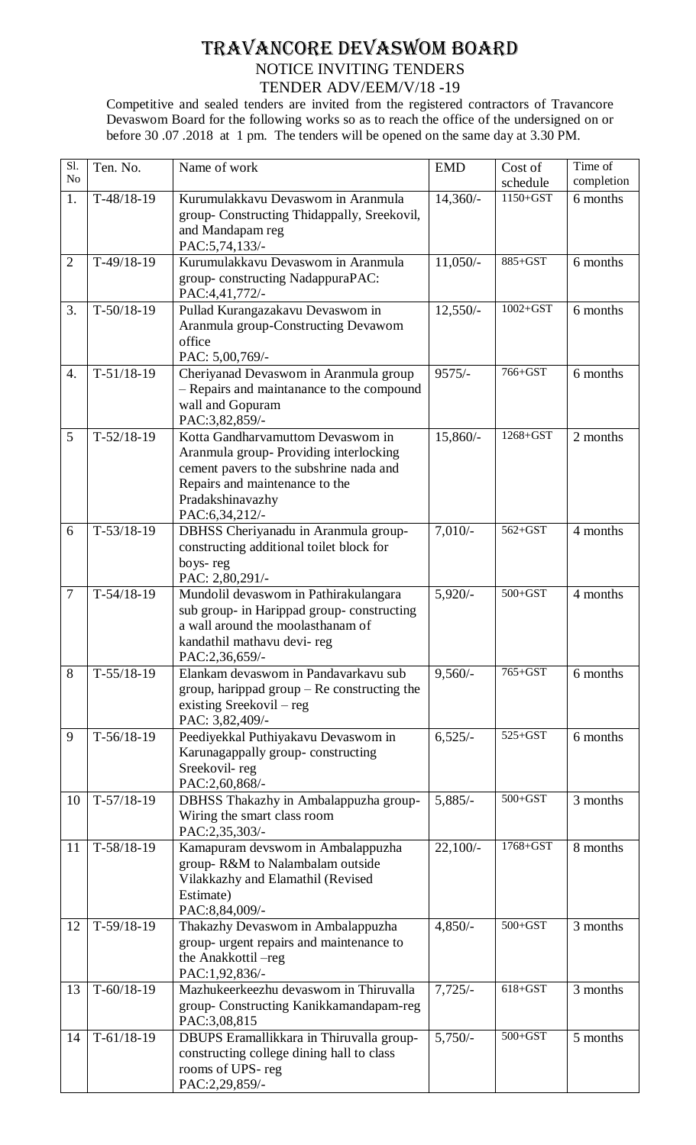## TRAVANCORE DEVASWOM BOARD NOTICE INVITING TENDERS TENDER ADV/EEM/V/18 -19

Competitive and sealed tenders are invited from the registered contractors of Travancore Devaswom Board for the following works so as to reach the office of the undersigned on or before 30 .07 .2018 at 1 pm. The tenders will be opened on the same day at 3.30 PM.

| Sl.<br>N <sub>o</sub> | Ten. No.     | Name of work                                                                                                                                                                                  | <b>EMD</b> | Cost of<br>schedule | Time of<br>completion |
|-----------------------|--------------|-----------------------------------------------------------------------------------------------------------------------------------------------------------------------------------------------|------------|---------------------|-----------------------|
| 1.                    | $T-48/18-19$ | Kurumulakkavu Devaswom in Aranmula<br>group- Constructing Thidappally, Sreekovil,<br>and Mandapam reg<br>PAC:5,74,133/-                                                                       | $14,360/-$ | 1150+GST            | 6 months              |
| $\overline{2}$        | $T-49/18-19$ | Kurumulakkavu Devaswom in Aranmula<br>group-constructing NadappuraPAC:<br>PAC:4,41,772/-                                                                                                      | $11,050/-$ | 885+GST             | 6 months              |
| 3.                    | $T-50/18-19$ | Pullad Kurangazakavu Devaswom in<br>Aranmula group-Constructing Devawom<br>office<br>PAC: 5,00,769/-                                                                                          | $12,550/-$ | $1002 + GST$        | 6 months              |
| 4.                    | $T-51/18-19$ | Cheriyanad Devaswom in Aranmula group<br>- Repairs and maintanance to the compound<br>wall and Gopuram<br>PAC:3,82,859/-                                                                      | $9575/-$   | 766+GST             | 6 months              |
| 5                     | $T-52/18-19$ | Kotta Gandharvamuttom Devaswom in<br>Aranmula group-Providing interlocking<br>cement pavers to the subshrine nada and<br>Repairs and maintenance to the<br>Pradakshinavazhy<br>PAC:6,34,212/- | 15,860/-   | 1268+GST            | 2 months              |
| 6                     | $T-53/18-19$ | DBHSS Cheriyanadu in Aranmula group-<br>constructing additional toilet block for<br>boys-reg<br>PAC: 2,80,291/-                                                                               | $7,010/-$  | $562 + GST$         | 4 months              |
| $\tau$                | $T-54/18-19$ | Mundolil devaswom in Pathirakulangara<br>sub group- in Harippad group- constructing<br>a wall around the moolasthanam of<br>kandathil mathavu devi- reg<br>PAC:2,36,659/-                     | $5,920/-$  | $500 + GST$         | 4 months              |
| 8                     | $T-55/18-19$ | Elankam devaswom in Pandavarkavu sub<br>group, harippad $group - Re$ constructing the<br>existing Sreekovil $-$ reg<br>PAC: 3,82,409/-                                                        | $9,560/-$  | 765+GST             | 6 months              |
| 9                     | $T-56/18-19$ | Peediyekkal Puthiyakavu Devaswom in<br>Karunagappally group-constructing<br>Sreekovil-reg<br>PAC:2,60,868/-                                                                                   | 6,525/     | $525 + GST$         | 6 months              |
| 10                    | $T-57/18-19$ | DBHSS Thakazhy in Ambalappuzha group-<br>Wiring the smart class room<br>PAC:2,35,303/-                                                                                                        | $5,885/-$  | $500 + GST$         | 3 months              |
| 11                    | $T-58/18-19$ | Kamapuram devswom in Ambalappuzha<br>group-R&M to Nalambalam outside<br>Vilakkazhy and Elamathil (Revised<br>Estimate)<br>PAC:8,84,009/-                                                      | $22,100/-$ | 1768+GST            | 8 months              |
| 12                    | $T-59/18-19$ | Thakazhy Devaswom in Ambalappuzha<br>group- urgent repairs and maintenance to<br>the Anakkottil-reg<br>PAC:1,92,836/-                                                                         | $4,850/-$  | $500 + GST$         | 3 months              |
| 13                    | $T-60/18-19$ | Mazhukeerkeezhu devaswom in Thiruvalla<br>group- Constructing Kanikkamandapam-reg<br>PAC:3,08,815                                                                                             | $7,725/-$  | $618 + GST$         | 3 months              |
| 14                    | $T-61/18-19$ | DBUPS Eramallikkara in Thiruvalla group-<br>constructing college dining hall to class<br>rooms of UPS-reg<br>PAC:2,29,859/-                                                                   | $5,750/-$  | $500 + GST$         | 5 months              |